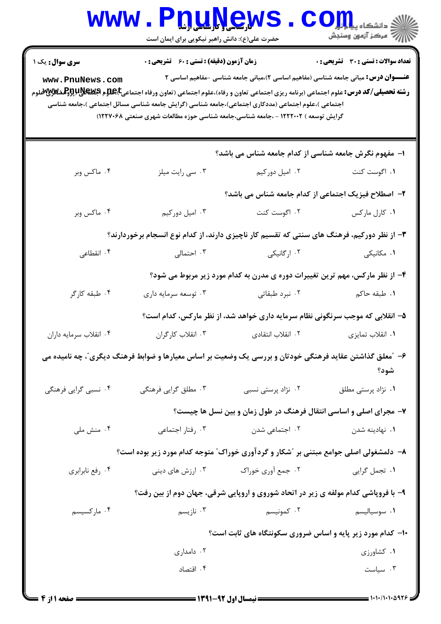|                                                                                                                                                                                                                                                                                                                                                                                                                                                                                                                                                                                          | www.Pnuyew<br>حضرت علی(ع): دانش راهبر نیکویی برای ایمان است                                             |                                                                               | ≦ دانشکاه پ <b>یاج <mark>تو</mark>ر</b><br>أآآآآ مرکز آزمون وسنجش            |  |  |  |
|------------------------------------------------------------------------------------------------------------------------------------------------------------------------------------------------------------------------------------------------------------------------------------------------------------------------------------------------------------------------------------------------------------------------------------------------------------------------------------------------------------------------------------------------------------------------------------------|---------------------------------------------------------------------------------------------------------|-------------------------------------------------------------------------------|------------------------------------------------------------------------------|--|--|--|
| زمان آزمون (دقیقه) : تستی : 60 ٪ تشریحی : 0<br><b>تعداد سوالات : تستی : 30 ٪ تشریحی : 0</b><br><b>سری سوال :</b> یک ۱<br><b>عنــــوان درس:</b> مبانی جامعه شناسی (مفاهیم اساسی ۲)،مبانی جامعه شناسی –مفاهیم اساسی ۲<br>www.PnuNews.com<br><b>رشته تحصیلی/کد درس:</b> علوم اجتماعی (برنامه ریزی اجتماعی تعاون و رفاه)،علوم اجتماعی (تعاون ورفاه اجتماعی <b>E)،De م RHگلاباپروگشگلابا</b> لاتی<br>اجتماعی )،علوم اجتماعی (مددکاری اجتماعی)،جامعه شناسی (گرایش جامعه شناسی مسائل اجتماعی )،جامعه شناسی<br>گرایش توسعه ) ۱۲۲۲۰۰۲ - ،جامعه شناسی،جامعه شناسی حوزه مطالعات شهری صنعتی ۱۲۲۷۰۶۸) |                                                                                                         |                                                                               |                                                                              |  |  |  |
|                                                                                                                                                                                                                                                                                                                                                                                                                                                                                                                                                                                          |                                                                                                         | ۱– مفهوم نگرش جامعه شناسی از کدام جامعه شناس می باشد؟                         |                                                                              |  |  |  |
| ۰۴ ماکس وبر                                                                                                                                                                                                                                                                                                                                                                                                                                                                                                                                                                              | ۰۳ سی رایت میلز                                                                                         | ۰۲ امیل دورکیم                                                                | ۰۱ اگوست کنت                                                                 |  |  |  |
|                                                                                                                                                                                                                                                                                                                                                                                                                                                                                                                                                                                          |                                                                                                         | ۲- اصطلاح فیزیک اجتماعی از کدام جامعه شناس می باشد؟                           |                                                                              |  |  |  |
| ۰۴ ماکس وبر                                                                                                                                                                                                                                                                                                                                                                                                                                                                                                                                                                              | ۰۳ امیل دورکیم                                                                                          | ۰۲ اگوست کنت                                                                  | ۰۱ کارل مارکس                                                                |  |  |  |
|                                                                                                                                                                                                                                                                                                                                                                                                                                                                                                                                                                                          | ۳- از نظر دورکیم، فرهنگ های سنتی که تقسیم کار ناچیزی دارند، از کدام نوع انسجام برخوردارند؟              |                                                                               |                                                                              |  |  |  |
| ۰۴ انقطاعی                                                                                                                                                                                                                                                                                                                                                                                                                                                                                                                                                                               | ۰۳ احتمالی                                                                                              | ۰۲ ارگانیکی                                                                   | ۰۱ مکانیکی                                                                   |  |  |  |
|                                                                                                                                                                                                                                                                                                                                                                                                                                                                                                                                                                                          |                                                                                                         |                                                                               | ۴- از نظر مارکس، مهم ترین تغییرات دوره ی مدرن به کدام مورد زیر مربوط می شود؟ |  |  |  |
| ۰۴ طبقه کارگر                                                                                                                                                                                                                                                                                                                                                                                                                                                                                                                                                                            | ۰۳ توسعه سرمايه داري                                                                                    | ۰۲ نبرد طبقاتی                                                                | ۰۱ طبقه حاکم                                                                 |  |  |  |
|                                                                                                                                                                                                                                                                                                                                                                                                                                                                                                                                                                                          |                                                                                                         | ۵– انقلابی که موجب سرنگونی نظام سرمایه داری خواهد شد، از نظر مارکس، کدام است؟ |                                                                              |  |  |  |
| ۰۴ انقلاب سرمايه داران                                                                                                                                                                                                                                                                                                                                                                                                                                                                                                                                                                   | ۰۳ انقلاب کارگران                                                                                       | ۰۲ انقلاب انتقادی                                                             | ٠١. انقلاب تمايزي                                                            |  |  |  |
|                                                                                                                                                                                                                                                                                                                                                                                                                                                                                                                                                                                          | ۶– ″معلق گذاشتن عقاید فرهنگی خودتان و بررسی یک وضعیت بر اساس معیارها و ضوابط فرهنگ دیگری″، چه نامیده می |                                                                               | شود؟                                                                         |  |  |  |
| ۰۴ نسبی گرایی فرهنگی                                                                                                                                                                                                                                                                                                                                                                                                                                                                                                                                                                     | ۰۳ مطلق گرایی فرهنگی                                                                                    | ۰۲ نژاد پرستی نسبی                                                            | ۰۱ نژاد پرستی مطلق                                                           |  |  |  |
|                                                                                                                                                                                                                                                                                                                                                                                                                                                                                                                                                                                          |                                                                                                         |                                                                               | ۷- مجرای اصلی و اساسی انتقال فرهنگ در طول زمان و بین نسل ها چیست؟            |  |  |  |
| ۰۴ منش ملی                                                                                                                                                                                                                                                                                                                                                                                                                                                                                                                                                                               | ۰۳ رفتار اجتماعی                                                                                        | ٠٢ اجتماعي شدن                                                                | ۰۱ نهادینه شدن                                                               |  |  |  |
|                                                                                                                                                                                                                                                                                                                                                                                                                                                                                                                                                                                          | ۸– دلمشغولی اصلی جوامع مبتنی بر "شکار و گردآوری خوراک" متوجه کدام مورد زیر بوده است؟                    |                                                                               |                                                                              |  |  |  |
| ۰۴ رفع نابرابري                                                                                                                                                                                                                                                                                                                                                                                                                                                                                                                                                                          | ۰۳ ارزش های دینی                                                                                        | ۰۲ جمع آوری خوراک                                                             | ٠١ تجمل گرايي                                                                |  |  |  |
|                                                                                                                                                                                                                                                                                                                                                                                                                                                                                                                                                                                          | ۹- با فروپاشی کدام مولفه ی زیر در اتحاد شوروی و اروپایی شرقی، جهان دوم از بین رفت؟                      |                                                                               |                                                                              |  |  |  |
| ۰۴ مارکسیسم                                                                                                                                                                                                                                                                                                                                                                                                                                                                                                                                                                              | ۰۳ نازیسم                                                                                               | ۰۲ کمونیسم                                                                    | ۰۱ سوسیالیسم                                                                 |  |  |  |
| ۱۰- کدام مورد زیر پایه و اساس ضروری سکونتگاه های ثابت است؟                                                                                                                                                                                                                                                                                                                                                                                                                                                                                                                               |                                                                                                         |                                                                               |                                                                              |  |  |  |
|                                                                                                                                                                                                                                                                                                                                                                                                                                                                                                                                                                                          | ۰۲ دامداری                                                                                              |                                                                               | ۰۱ کشاورزی                                                                   |  |  |  |
|                                                                                                                                                                                                                                                                                                                                                                                                                                                                                                                                                                                          | ۰۴ اقتصاد                                                                                               |                                                                               | ۰۳ سیاست                                                                     |  |  |  |
|                                                                                                                                                                                                                                                                                                                                                                                                                                                                                                                                                                                          |                                                                                                         |                                                                               |                                                                              |  |  |  |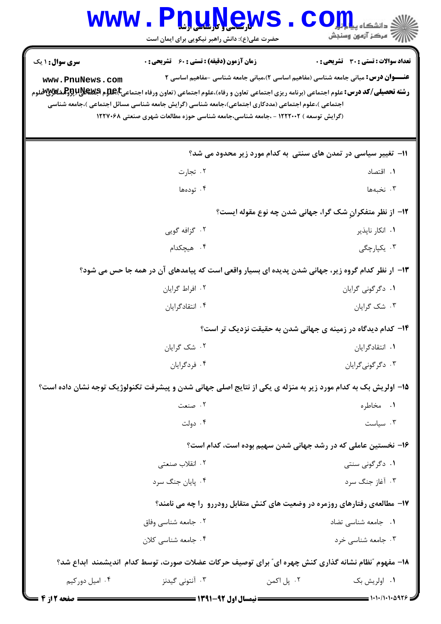| <b>WWW</b>                                                                                           | <u>nuyews</u><br>حضرت علی(ع): دانش راهبر نیکویی برای ایمان است                                                                                                                                                                                                                                                                                      |                                                                                           | // " مرڪز آزمون وسنڊش                        |  |
|------------------------------------------------------------------------------------------------------|-----------------------------------------------------------------------------------------------------------------------------------------------------------------------------------------------------------------------------------------------------------------------------------------------------------------------------------------------------|-------------------------------------------------------------------------------------------|----------------------------------------------|--|
| <b>سری سوال : ۱ یک</b><br>www.PnuNews.com                                                            | <b>زمان آزمون (دقیقه) : تستی : 60 ٪ تشریحی : 0</b>                                                                                                                                                                                                                                                                                                  | <b>عنـــوان درس:</b> مبانی جامعه شناسی (مفاهیم اساسی ۲)،مبانی جامعه شناسی -مفاهیم اساسی ۲ | <b>تعداد سوالات : تستی : 30 ٪ تشریحی : 0</b> |  |
|                                                                                                      | <b>رشته تحصیلی/کد درس:</b> علوم اجتماعی (برنامه ریزی اجتماعی تعاون و رفاه)،علوم اجتماعی (تعاون ورفاه اجتماعی <b>E)،De م اگلیلابلابو آولیشگلابلابو</b> م<br>اجتماعی )،علوم اجتماعی (مددکاری اجتماعی)،جامعه شناسی (گرایش جامعه شناسی مسائل اجتماعی )،جامعه شناسی<br>(گرایش توسعه ) ۱۲۲۲۰۰۲ - ،جامعه شناسی،جامعه شناسی حوزه مطالعات شهری صنعتی ۱۲۲۷۰۶۸ |                                                                                           |                                              |  |
| 11– تغییر سیاسی در تمدن های سنتی به کدام مورد زیر محدود می شد؟                                       |                                                                                                                                                                                                                                                                                                                                                     |                                                                                           |                                              |  |
|                                                                                                      | ۰۲ تجارت                                                                                                                                                                                                                                                                                                                                            |                                                                                           | ۰۱ اقتصاد                                    |  |
|                                                                                                      | ۰۴ تودهها                                                                                                                                                                                                                                                                                                                                           |                                                                                           | ۰۳ نخبهها                                    |  |
| ۱۲- از نظر متفکرانِ شک گرا، جهانی شدن چه نوع مقوله ایست؟                                             |                                                                                                                                                                                                                                                                                                                                                     |                                                                                           |                                              |  |
|                                                                                                      | ۰۲ گزافه گویی                                                                                                                                                                                                                                                                                                                                       |                                                                                           | ۰۱ انکار ناپذیر                              |  |
|                                                                                                      | ۰۴ هیچکدام                                                                                                                                                                                                                                                                                                                                          |                                                                                           | ۴. یکپارچگی                                  |  |
|                                                                                                      | ۱۳– ار نظر کدام گروه زیر، جهانی شدن پدیده ای بسیار واقعی است که پیامدهای آن در همه جا حس می شود؟                                                                                                                                                                                                                                                    |                                                                                           |                                              |  |
|                                                                                                      | ۰۲ افراط گرایان                                                                                                                                                                                                                                                                                                                                     |                                                                                           | ۰۱ دگرگونی گرایان                            |  |
|                                                                                                      | ۰۴ انتقادگرایان                                                                                                                                                                                                                                                                                                                                     |                                                                                           | ۰۳ شک گرایان                                 |  |
|                                                                                                      |                                                                                                                                                                                                                                                                                                                                                     | ۱۴– کدام دیدگاه در زمینه ی جهانی شدن به حقیقت نزدیک تر است؟                               |                                              |  |
|                                                                                                      | ۰۲ شک گرایان                                                                                                                                                                                                                                                                                                                                        |                                                                                           | ۰۱ انتقادگرایان                              |  |
|                                                                                                      | ۰۴ فردگرایان                                                                                                                                                                                                                                                                                                                                        |                                                                                           | ۰۳ دگرگونیگرایان                             |  |
|                                                                                                      | ۱۵– اولریش بک به کدام مورد زیر به منزله ی یکی از نتایج اصلی جهانی شدن و پیشرفت تکنولوژیک توجه نشان داده است؟                                                                                                                                                                                                                                        |                                                                                           |                                              |  |
|                                                                                                      | ۰۲ صنعت                                                                                                                                                                                                                                                                                                                                             |                                                                                           | ۰۱ مخاطره                                    |  |
|                                                                                                      | ۰۴ دولت                                                                                                                                                                                                                                                                                                                                             |                                                                                           | $\cdot$ سياست                                |  |
|                                                                                                      |                                                                                                                                                                                                                                                                                                                                                     | ۱۶– نخستین عاملی که در رشد جهانی شدن سهیم بوده است، کدام است؟                             |                                              |  |
|                                                                                                      | ۰۲ انقلاب صنعتی                                                                                                                                                                                                                                                                                                                                     |                                                                                           | ۰۱ دگرگونی سنتی                              |  |
|                                                                                                      | ۰۴ پایان جنگ سرد                                                                                                                                                                                                                                                                                                                                    |                                                                                           | ۰۳ آغاز جنگ سرد                              |  |
|                                                                                                      |                                                                                                                                                                                                                                                                                                                                                     | ۱۷- مطالعهی رفتارهای روزمره در وضعیت های کنش متقابل رودررو ًرا چه می نامند؟               |                                              |  |
|                                                                                                      | ۰۲ جامعه شناسی وفاق                                                                                                                                                                                                                                                                                                                                 |                                                                                           | ۰۱ جامعه شناسی تضاد                          |  |
|                                                                                                      | ۰۴ جامعه شناسی کلان                                                                                                                                                                                                                                                                                                                                 |                                                                                           | ۰۳ جامعه شناسی خرد                           |  |
| ۱۸- مفهوم "نظام نشانه گذاری کنش چهره ای″ برای توصیف حرکات عضلات صورت، توسط کدام  اندیشمند  ابداع شد؟ |                                                                                                                                                                                                                                                                                                                                                     |                                                                                           |                                              |  |
| ۰۴ امیل دورکیم                                                                                       | ۰۳ آنتونی گیدنز                                                                                                                                                                                                                                                                                                                                     | ۰۲ پل اکمن                                                                                | ۰۱ اولريش بک                                 |  |
|                                                                                                      |                                                                                                                                                                                                                                                                                                                                                     |                                                                                           | = 1・1・/1・1・4926                              |  |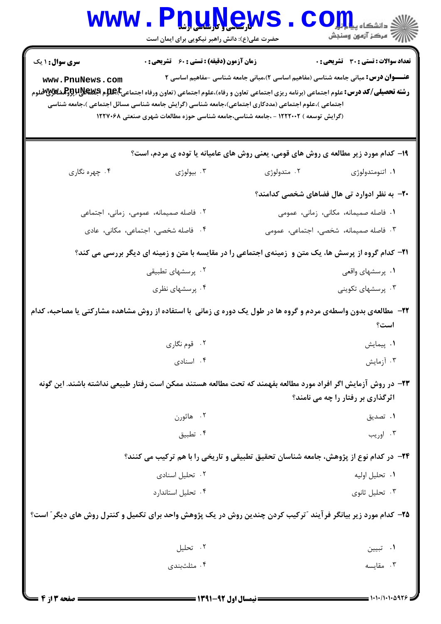| <b>WWW</b>                                                                                                                                                                                                                                                                                                                                                                                                                                                                                                                                                                                                                                                                             | <b>TTMYGW</b><br>حضرت علی(ع): دانش راهبر نیکویی برای ایمان است |                                                                                      | ≦ دانشکاه پ <b>یا با بار</b><br>رِ ۖ مرڪز آزمون وسنڊش |  |  |
|----------------------------------------------------------------------------------------------------------------------------------------------------------------------------------------------------------------------------------------------------------------------------------------------------------------------------------------------------------------------------------------------------------------------------------------------------------------------------------------------------------------------------------------------------------------------------------------------------------------------------------------------------------------------------------------|----------------------------------------------------------------|--------------------------------------------------------------------------------------|-------------------------------------------------------|--|--|
| <b>تعداد سوالات : تستي : 30 ٪ تشريحي : 0</b><br><b>زمان آزمون (دقیقه) : تستی : 60 ٪ تشریحی : 0</b><br><b>سری سوال : ۱ یک</b><br><b>عنـــوان درس:</b> مبانی جامعه شناسی (مفاهیم اساسی ۲)،مبانی جامعه شناسی -مفاهیم اساسی ۲<br>www.PnuNews.com<br><b>رشته تحصیلی/کد درس:</b> علوم اجتماعی (برنامه ریزی اجتماعی تعاون و رفاه)،علوم اجتماعی (تعاون ورفاه اجتماعی <b>E)Eپلاپیلاپلاپوتوگلشگلاپاپوتو</b> گلاپلاپوتوگلاپلاپوتوگلاپلاپوتوگلاپلاپوتوگلاپلاپوتوگلاپلاپوتوگلاپلاپوتوگلاپلاپوتوگلاپلاپو<br>اجتماعی )،علوم اجتماعی (مددکاری اجتماعی)،جامعه شناسی (گرایش جامعه شناسی مسائل اجتماعی )،جامعه شناسی<br>(گرایش توسعه ) ۱۲۲۲۰۰۲ - ،جامعه شناسی،جامعه شناسی حوزه مطالعات شهری صنعتی ۱۲۲۷۰۶۸ |                                                                |                                                                                      |                                                       |  |  |
|                                                                                                                                                                                                                                                                                                                                                                                                                                                                                                                                                                                                                                                                                        |                                                                | ۱۹- کدام مورد زیر مطالعه ی روش های قومی، یعنی روش های عامیانه یا توده ی مردم، است؟   |                                                       |  |  |
| ۰۴ چهره نگاري                                                                                                                                                                                                                                                                                                                                                                                                                                                                                                                                                                                                                                                                          | ۰۳ بیولوژی                                                     | ۰۲ متدولوژی                                                                          | ۰۱ اتنومتدولوژی                                       |  |  |
|                                                                                                                                                                                                                                                                                                                                                                                                                                                                                                                                                                                                                                                                                        |                                                                |                                                                                      | <b>۲۰</b> - به نظر ادوارد تی هال فضاهای شخصی کدامند؟  |  |  |
| ۰۲ فاصله صمیمانه، عمومی، زمانی، اجتماعی                                                                                                                                                                                                                                                                                                                                                                                                                                                                                                                                                                                                                                                |                                                                | ۰۱ فاصله صمیمانه، مکانی، زمانی، عمومی                                                |                                                       |  |  |
|                                                                                                                                                                                                                                                                                                                                                                                                                                                                                                                                                                                                                                                                                        | ۰۴ فاصله شخصی، اجتماعی، مکانی، عادی                            |                                                                                      | ۳. فاصله صمیمانه، شخصی، اجتماعی، عمومی                |  |  |
| <b>۲۱</b> – کدام گروه از پرسش ها، یک متن و زمینهی اجتماعی را در مقایسه با متن و زمینه ای دیگر بررسی می کند؟                                                                                                                                                                                                                                                                                                                                                                                                                                                                                                                                                                            |                                                                |                                                                                      |                                                       |  |  |
| ۰۲ پرسشهای تطبیقی                                                                                                                                                                                                                                                                                                                                                                                                                                                                                                                                                                                                                                                                      |                                                                |                                                                                      | ۰۱ پرسشهای واقعی                                      |  |  |
|                                                                                                                                                                                                                                                                                                                                                                                                                                                                                                                                                                                                                                                                                        | ۰۴ پرسشهای نظری                                                |                                                                                      | ۰۳ پرسشهای تکوینی                                     |  |  |
| ۲۲– مطالعهی بدون واسطهی مردم و گروه ها در طول یک دوره ی زمانی ًبا استفاده از روش مشاهده مشارکتی یا مصاحبه، کدام<br>است؟                                                                                                                                                                                                                                                                                                                                                                                                                                                                                                                                                                |                                                                |                                                                                      |                                                       |  |  |
|                                                                                                                                                                                                                                                                                                                                                                                                                                                                                                                                                                                                                                                                                        | ۰۲ قوم نگاري                                                   |                                                                                      | ۰۱ پیمایش                                             |  |  |
|                                                                                                                                                                                                                                                                                                                                                                                                                                                                                                                                                                                                                                                                                        | ۰۴ اسنادی                                                      |                                                                                      | ۰۳ آزمایش                                             |  |  |
| ۲۳– در روش آزمایش اگر افراد مورد مطالعه بفهمند که تحت مطالعه هستند ممکن است رفتار طبیعی نداشته باشند. این گونه<br>اثرگذاری بر رفتار را چه می نامند؟                                                                                                                                                                                                                                                                                                                                                                                                                                                                                                                                    |                                                                |                                                                                      |                                                       |  |  |
|                                                                                                                                                                                                                                                                                                                                                                                                                                                                                                                                                                                                                                                                                        | ۰۲ هاثورن                                                      |                                                                                      | ۰۱ تصدیق                                              |  |  |
|                                                                                                                                                                                                                                                                                                                                                                                                                                                                                                                                                                                                                                                                                        | ۰۴ تطبيق                                                       |                                                                                      | ۰۳ اوریب                                              |  |  |
|                                                                                                                                                                                                                                                                                                                                                                                                                                                                                                                                                                                                                                                                                        |                                                                | ۲۴- در کدام نوع از پژوهش، جامعه شناسان تحقیق تطبیقی و تاریخی را با هم ترکیب می کنند؟ |                                                       |  |  |
|                                                                                                                                                                                                                                                                                                                                                                                                                                                                                                                                                                                                                                                                                        | ۰۲ تحلیل اسنادی                                                |                                                                                      | ٠١. تحليل اوليه                                       |  |  |
|                                                                                                                                                                                                                                                                                                                                                                                                                                                                                                                                                                                                                                                                                        | ۰۴ تحلیل استاندارد                                             |                                                                                      | ۰۳ تحلیل ثانوی                                        |  |  |
| ۲۵- کدام مورد زیر بیانگر فرآیند "ترکیب کردن چندین روش در یک پژوهش واحد برای تکمیل و کنترل روش های دیگر" است؟                                                                                                                                                                                                                                                                                                                                                                                                                                                                                                                                                                           |                                                                |                                                                                      |                                                       |  |  |
|                                                                                                                                                                                                                                                                                                                                                                                                                                                                                                                                                                                                                                                                                        | ۰۲ تحلیل                                                       |                                                                                      | ۰۱ تبيين                                              |  |  |
|                                                                                                                                                                                                                                                                                                                                                                                                                                                                                                                                                                                                                                                                                        | ۰۴ مثلثبندی                                                    |                                                                                      | ۰۳ مقايسه                                             |  |  |
| صفحه 13 از 4                                                                                                                                                                                                                                                                                                                                                                                                                                                                                                                                                                                                                                                                           | ـــــ نیمسال اول 92-1391 ـــــــ                               |                                                                                      |                                                       |  |  |